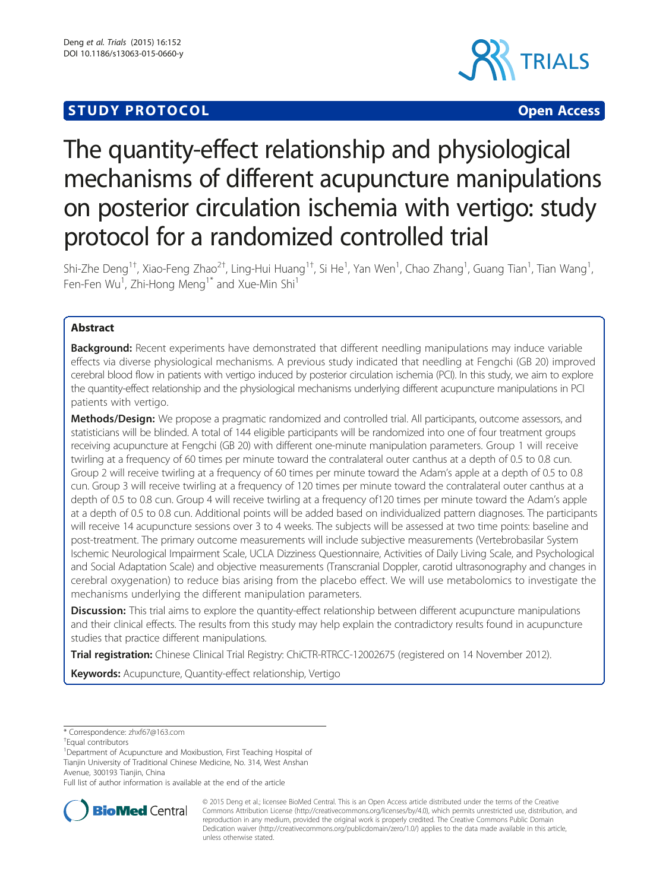## **STUDY PROTOCOL CONSUMING THE CONSUMING OPEN ACCESS**



# The quantity-effect relationship and physiological mechanisms of different acupuncture manipulations on posterior circulation ischemia with vertigo: study protocol for a randomized controlled trial

Shi-Zhe Deng<sup>1†</sup>, Xiao-Feng Zhao<sup>2†</sup>, Ling-Hui Huang<sup>1†</sup>, Si He<sup>1</sup>, Yan Wen<sup>1</sup>, Chao Zhang<sup>1</sup>, Guang Tian<sup>1</sup>, Tian Wang<sup>1</sup> , Fen-Fen Wu<sup>1</sup>, Zhi-Hong Meng<sup>1\*</sup> and Xue-Min Shi<sup>1</sup>

### Abstract

Background: Recent experiments have demonstrated that different needling manipulations may induce variable effects via diverse physiological mechanisms. A previous study indicated that needling at Fengchi (GB 20) improved cerebral blood flow in patients with vertigo induced by posterior circulation ischemia (PCI). In this study, we aim to explore the quantity-effect relationship and the physiological mechanisms underlying different acupuncture manipulations in PCI patients with vertigo.

Methods/Design: We propose a pragmatic randomized and controlled trial. All participants, outcome assessors, and statisticians will be blinded. A total of 144 eligible participants will be randomized into one of four treatment groups receiving acupuncture at Fengchi (GB 20) with different one-minute manipulation parameters. Group 1 will receive twirling at a frequency of 60 times per minute toward the contralateral outer canthus at a depth of 0.5 to 0.8 cun. Group 2 will receive twirling at a frequency of 60 times per minute toward the Adam's apple at a depth of 0.5 to 0.8 cun. Group 3 will receive twirling at a frequency of 120 times per minute toward the contralateral outer canthus at a depth of 0.5 to 0.8 cun. Group 4 will receive twirling at a frequency of120 times per minute toward the Adam's apple at a depth of 0.5 to 0.8 cun. Additional points will be added based on individualized pattern diagnoses. The participants will receive 14 acupuncture sessions over 3 to 4 weeks. The subjects will be assessed at two time points: baseline and post-treatment. The primary outcome measurements will include subjective measurements (Vertebrobasilar System Ischemic Neurological Impairment Scale, UCLA Dizziness Questionnaire, Activities of Daily Living Scale, and Psychological and Social Adaptation Scale) and objective measurements (Transcranial Doppler, carotid ultrasonography and changes in cerebral oxygenation) to reduce bias arising from the placebo effect. We will use metabolomics to investigate the mechanisms underlying the different manipulation parameters.

**Discussion:** This trial aims to explore the quantity-effect relationship between different acupuncture manipulations and their clinical effects. The results from this study may help explain the contradictory results found in acupuncture studies that practice different manipulations.

Trial registration: Chinese Clinical Trial Registry: [ChiCTR-RTRCC-12002675](http://www.chictr.org/cn/) (registered on 14 November 2012).

Keywords: Acupuncture, Quantity-effect relationship, Vertigo

\* Correspondence: [zhxf67@163.com](mailto:zhxf67@163.com) †

Equal contributors

<sup>1</sup>Department of Acupuncture and Moxibustion, First Teaching Hospital of Tianjin University of Traditional Chinese Medicine, No. 314, West Anshan Avenue, 300193 Tianjin, China

Full list of author information is available at the end of the article



© 2015 Deng et al.; licensee BioMed Central. This is an Open Access article distributed under the terms of the Creative Commons Attribution License [\(http://creativecommons.org/licenses/by/4.0\)](http://creativecommons.org/licenses/by/4.0), which permits unrestricted use, distribution, and reproduction in any medium, provided the original work is properly credited. The Creative Commons Public Domain Dedication waiver [\(http://creativecommons.org/publicdomain/zero/1.0/](http://creativecommons.org/publicdomain/zero/1.0/)) applies to the data made available in this article, unless otherwise stated.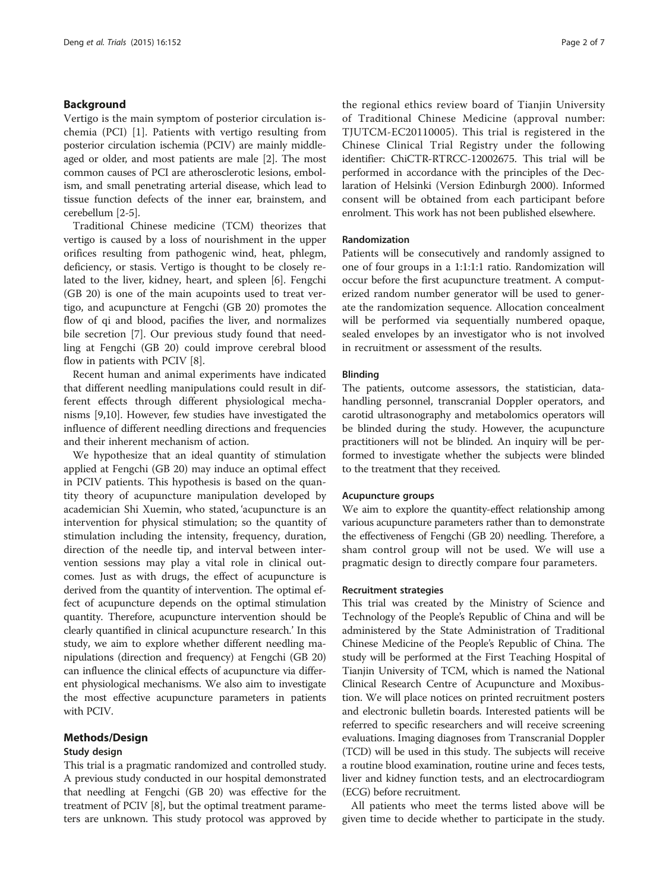#### Background

Vertigo is the main symptom of posterior circulation ischemia (PCI) [[1\]](#page-6-0). Patients with vertigo resulting from posterior circulation ischemia (PCIV) are mainly middleaged or older, and most patients are male [\[2\]](#page-6-0). The most common causes of PCI are atherosclerotic lesions, embolism, and small penetrating arterial disease, which lead to tissue function defects of the inner ear, brainstem, and cerebellum [[2-5\]](#page-6-0).

Traditional Chinese medicine (TCM) theorizes that vertigo is caused by a loss of nourishment in the upper orifices resulting from pathogenic wind, heat, phlegm, deficiency, or stasis. Vertigo is thought to be closely related to the liver, kidney, heart, and spleen [\[6](#page-6-0)]. Fengchi (GB 20) is one of the main acupoints used to treat vertigo, and acupuncture at Fengchi (GB 20) promotes the flow of qi and blood, pacifies the liver, and normalizes bile secretion [[7\]](#page-6-0). Our previous study found that needling at Fengchi (GB 20) could improve cerebral blood flow in patients with PCIV [\[8](#page-6-0)].

Recent human and animal experiments have indicated that different needling manipulations could result in different effects through different physiological mechanisms [\[9,10\]](#page-6-0). However, few studies have investigated the influence of different needling directions and frequencies and their inherent mechanism of action.

We hypothesize that an ideal quantity of stimulation applied at Fengchi (GB 20) may induce an optimal effect in PCIV patients. This hypothesis is based on the quantity theory of acupuncture manipulation developed by academician Shi Xuemin, who stated, 'acupuncture is an intervention for physical stimulation; so the quantity of stimulation including the intensity, frequency, duration, direction of the needle tip, and interval between intervention sessions may play a vital role in clinical outcomes. Just as with drugs, the effect of acupuncture is derived from the quantity of intervention. The optimal effect of acupuncture depends on the optimal stimulation quantity. Therefore, acupuncture intervention should be clearly quantified in clinical acupuncture research.' In this study, we aim to explore whether different needling manipulations (direction and frequency) at Fengchi (GB 20) can influence the clinical effects of acupuncture via different physiological mechanisms. We also aim to investigate the most effective acupuncture parameters in patients with PCIV.

#### Methods/Design

#### Study design

This trial is a pragmatic randomized and controlled study. A previous study conducted in our hospital demonstrated that needling at Fengchi (GB 20) was effective for the treatment of PCIV [\[8](#page-6-0)], but the optimal treatment parameters are unknown. This study protocol was approved by

the regional ethics review board of Tianjin University of Traditional Chinese Medicine (approval number: TJUTCM-EC20110005). This trial is registered in the Chinese Clinical Trial Registry under the following identifier: ChiCTR-RTRCC-12002675. This trial will be performed in accordance with the principles of the Declaration of Helsinki (Version Edinburgh 2000). Informed consent will be obtained from each participant before enrolment. This work has not been published elsewhere.

#### Randomization

Patients will be consecutively and randomly assigned to one of four groups in a 1:1:1:1 ratio. Randomization will occur before the first acupuncture treatment. A computerized random number generator will be used to generate the randomization sequence. Allocation concealment will be performed via sequentially numbered opaque, sealed envelopes by an investigator who is not involved in recruitment or assessment of the results.

#### Blinding

The patients, outcome assessors, the statistician, datahandling personnel, transcranial Doppler operators, and carotid ultrasonography and metabolomics operators will be blinded during the study. However, the acupuncture practitioners will not be blinded. An inquiry will be performed to investigate whether the subjects were blinded to the treatment that they received.

#### Acupuncture groups

We aim to explore the quantity-effect relationship among various acupuncture parameters rather than to demonstrate the effectiveness of Fengchi (GB 20) needling. Therefore, a sham control group will not be used. We will use a pragmatic design to directly compare four parameters.

#### Recruitment strategies

This trial was created by the Ministry of Science and Technology of the People's Republic of China and will be administered by the State Administration of Traditional Chinese Medicine of the People's Republic of China. The study will be performed at the First Teaching Hospital of Tianjin University of TCM, which is named the National Clinical Research Centre of Acupuncture and Moxibustion. We will place notices on printed recruitment posters and electronic bulletin boards. Interested patients will be referred to specific researchers and will receive screening evaluations. Imaging diagnoses from Transcranial Doppler (TCD) will be used in this study. The subjects will receive a routine blood examination, routine urine and feces tests, liver and kidney function tests, and an electrocardiogram (ECG) before recruitment.

All patients who meet the terms listed above will be given time to decide whether to participate in the study.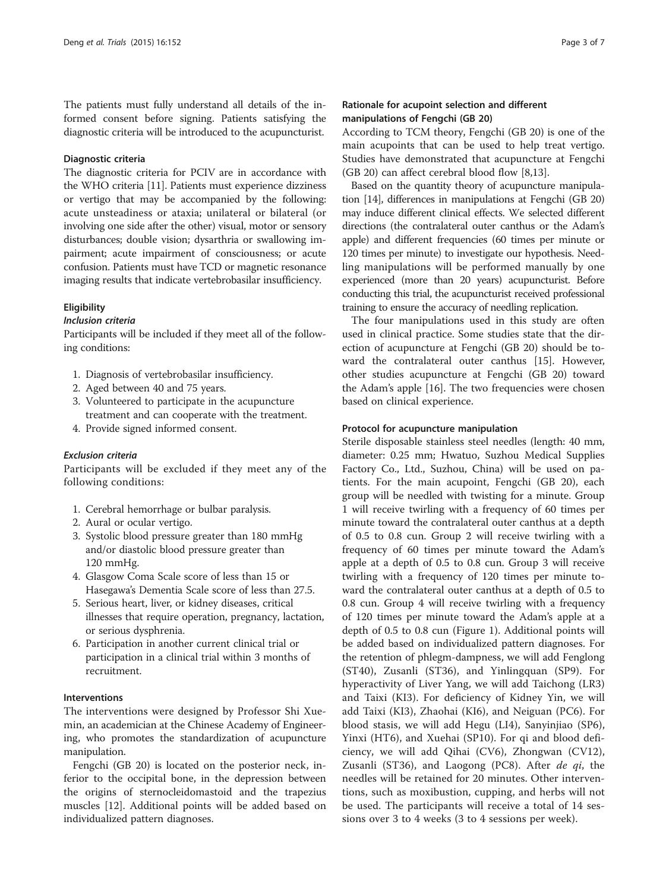The patients must fully understand all details of the informed consent before signing. Patients satisfying the diagnostic criteria will be introduced to the acupuncturist.

#### Diagnostic criteria

The diagnostic criteria for PCIV are in accordance with the WHO criteria [\[11\]](#page-6-0). Patients must experience dizziness or vertigo that may be accompanied by the following: acute unsteadiness or ataxia; unilateral or bilateral (or involving one side after the other) visual, motor or sensory disturbances; double vision; dysarthria or swallowing impairment; acute impairment of consciousness; or acute confusion. Patients must have TCD or magnetic resonance imaging results that indicate vertebrobasilar insufficiency.

#### Eligibility

Participants will be included if they meet all of the following conditions:

- 1. Diagnosis of vertebrobasilar insufficiency.
- 2. Aged between 40 and 75 years.
- 3. Volunteered to participate in the acupuncture treatment and can cooperate with the treatment.
- 4. Provide signed informed consent.

### **Exclusion criteria**

Participants will be excluded if they meet any of the following conditions:

- 1. Cerebral hemorrhage or bulbar paralysis.
- 2. Aural or ocular vertigo.
- 3. Systolic blood pressure greater than 180 mmHg and/or diastolic blood pressure greater than 120 mmHg.
- 4. Glasgow Coma Scale score of less than 15 or Hasegawa's Dementia Scale score of less than 27.5.
- 5. Serious heart, liver, or kidney diseases, critical illnesses that require operation, pregnancy, lactation, or serious dysphrenia.
- 6. Participation in another current clinical trial or participation in a clinical trial within 3 months of recruitment.

#### Interventions

The interventions were designed by Professor Shi Xuemin, an academician at the Chinese Academy of Engineering, who promotes the standardization of acupuncture manipulation.

Fengchi (GB 20) is located on the posterior neck, inferior to the occipital bone, in the depression between the origins of sternocleidomastoid and the trapezius muscles [\[12](#page-6-0)]. Additional points will be added based on individualized pattern diagnoses.

### Rationale for acupoint selection and different manipulations of Fengchi (GB 20)

According to TCM theory, Fengchi (GB 20) is one of the main acupoints that can be used to help treat vertigo. Studies have demonstrated that acupuncture at Fengchi (GB 20) can affect cerebral blood flow [\[8,13](#page-6-0)].

Based on the quantity theory of acupuncture manipulation [\[14](#page-6-0)], differences in manipulations at Fengchi (GB 20) may induce different clinical effects. We selected different directions (the contralateral outer canthus or the Adam's apple) and different frequencies (60 times per minute or 120 times per minute) to investigate our hypothesis. Needling manipulations will be performed manually by one experienced (more than 20 years) acupuncturist. Before conducting this trial, the acupuncturist received professional training to ensure the accuracy of needling replication.

The four manipulations used in this study are often used in clinical practice. Some studies state that the direction of acupuncture at Fengchi (GB 20) should be toward the contralateral outer canthus [[15\]](#page-6-0). However, other studies acupuncture at Fengchi (GB 20) toward the Adam's apple [[16\]](#page-6-0). The two frequencies were chosen based on clinical experience.

#### Protocol for acupuncture manipulation

Sterile disposable stainless steel needles (length: 40 mm, diameter: 0.25 mm; Hwatuo, Suzhou Medical Supplies Factory Co., Ltd., Suzhou, China) will be used on patients. For the main acupoint, Fengchi (GB 20), each group will be needled with twisting for a minute. Group 1 will receive twirling with a frequency of 60 times per minute toward the contralateral outer canthus at a depth of 0.5 to 0.8 cun. Group 2 will receive twirling with a frequency of 60 times per minute toward the Adam's apple at a depth of 0.5 to 0.8 cun. Group 3 will receive twirling with a frequency of 120 times per minute toward the contralateral outer canthus at a depth of 0.5 to 0.8 cun. Group 4 will receive twirling with a frequency of 120 times per minute toward the Adam's apple at a depth of 0.5 to 0.8 cun (Figure [1](#page-3-0)). Additional points will be added based on individualized pattern diagnoses. For the retention of phlegm-dampness, we will add Fenglong (ST40), Zusanli (ST36), and Yinlingquan (SP9). For hyperactivity of Liver Yang, we will add Taichong (LR3) and Taixi (KI3). For deficiency of Kidney Yin, we will add Taixi (KI3), Zhaohai (KI6), and Neiguan (PC6). For blood stasis, we will add Hegu (LI4), Sanyinjiao (SP6), Yinxi (HT6), and Xuehai (SP10). For qi and blood deficiency, we will add Qihai (CV6), Zhongwan (CV12), Zusanli (ST36), and Laogong (PC8). After *de qi*, the needles will be retained for 20 minutes. Other interventions, such as moxibustion, cupping, and herbs will not be used. The participants will receive a total of 14 sessions over 3 to 4 weeks (3 to 4 sessions per week).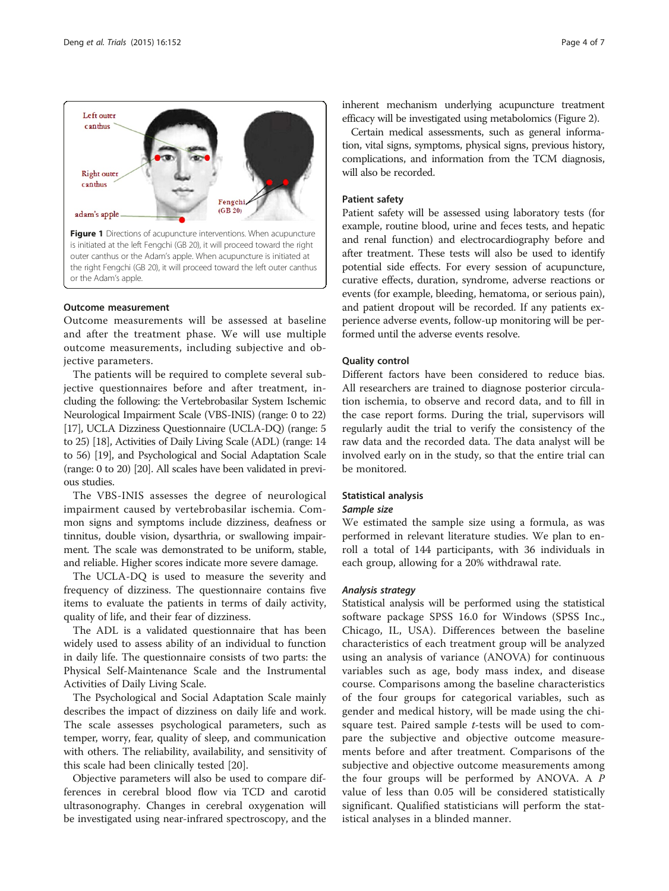<span id="page-3-0"></span>

#### Outcome measurement

Outcome measurements will be assessed at baseline and after the treatment phase. We will use multiple outcome measurements, including subjective and objective parameters.

The patients will be required to complete several subjective questionnaires before and after treatment, including the following: the Vertebrobasilar System Ischemic Neurological Impairment Scale (VBS-INIS) (range: 0 to 22) [[17](#page-6-0)], UCLA Dizziness Questionnaire (UCLA-DQ) (range: 5 to 25) [\[18\]](#page-6-0), Activities of Daily Living Scale (ADL) (range: 14 to 56) [\[19](#page-6-0)], and Psychological and Social Adaptation Scale (range: 0 to 20) [\[20](#page-6-0)]. All scales have been validated in previous studies.

The VBS-INIS assesses the degree of neurological impairment caused by vertebrobasilar ischemia. Common signs and symptoms include dizziness, deafness or tinnitus, double vision, dysarthria, or swallowing impairment. The scale was demonstrated to be uniform, stable, and reliable. Higher scores indicate more severe damage.

The UCLA-DQ is used to measure the severity and frequency of dizziness. The questionnaire contains five items to evaluate the patients in terms of daily activity, quality of life, and their fear of dizziness.

The ADL is a validated questionnaire that has been widely used to assess ability of an individual to function in daily life. The questionnaire consists of two parts: the Physical Self-Maintenance Scale and the Instrumental Activities of Daily Living Scale.

The Psychological and Social Adaptation Scale mainly describes the impact of dizziness on daily life and work. The scale assesses psychological parameters, such as temper, worry, fear, quality of sleep, and communication with others. The reliability, availability, and sensitivity of this scale had been clinically tested [\[20\]](#page-6-0).

Objective parameters will also be used to compare differences in cerebral blood flow via TCD and carotid ultrasonography. Changes in cerebral oxygenation will be investigated using near-infrared spectroscopy, and the inherent mechanism underlying acupuncture treatment efficacy will be investigated using metabolomics (Figure [2\)](#page-4-0).

Certain medical assessments, such as general information, vital signs, symptoms, physical signs, previous history, complications, and information from the TCM diagnosis, will also be recorded.

#### Patient safety

Patient safety will be assessed using laboratory tests (for example, routine blood, urine and feces tests, and hepatic and renal function) and electrocardiography before and after treatment. These tests will also be used to identify potential side effects. For every session of acupuncture, curative effects, duration, syndrome, adverse reactions or events (for example, bleeding, hematoma, or serious pain), and patient dropout will be recorded. If any patients experience adverse events, follow-up monitoring will be performed until the adverse events resolve.

#### Quality control

Different factors have been considered to reduce bias. All researchers are trained to diagnose posterior circulation ischemia, to observe and record data, and to fill in the case report forms. During the trial, supervisors will regularly audit the trial to verify the consistency of the raw data and the recorded data. The data analyst will be involved early on in the study, so that the entire trial can be monitored.

#### Statistical analysis

We estimated the sample size using a formula, as was performed in relevant literature studies. We plan to enroll a total of 144 participants, with 36 individuals in each group, allowing for a 20% withdrawal rate.

Statistical analysis will be performed using the statistical software package SPSS 16.0 for Windows (SPSS Inc., Chicago, IL, USA). Differences between the baseline characteristics of each treatment group will be analyzed using an analysis of variance (ANOVA) for continuous variables such as age, body mass index, and disease course. Comparisons among the baseline characteristics of the four groups for categorical variables, such as gender and medical history, will be made using the chisquare test. Paired sample t-tests will be used to compare the subjective and objective outcome measurements before and after treatment. Comparisons of the subjective and objective outcome measurements among the four groups will be performed by ANOVA. A P value of less than 0.05 will be considered statistically significant. Qualified statisticians will perform the statistical analyses in a blinded manner.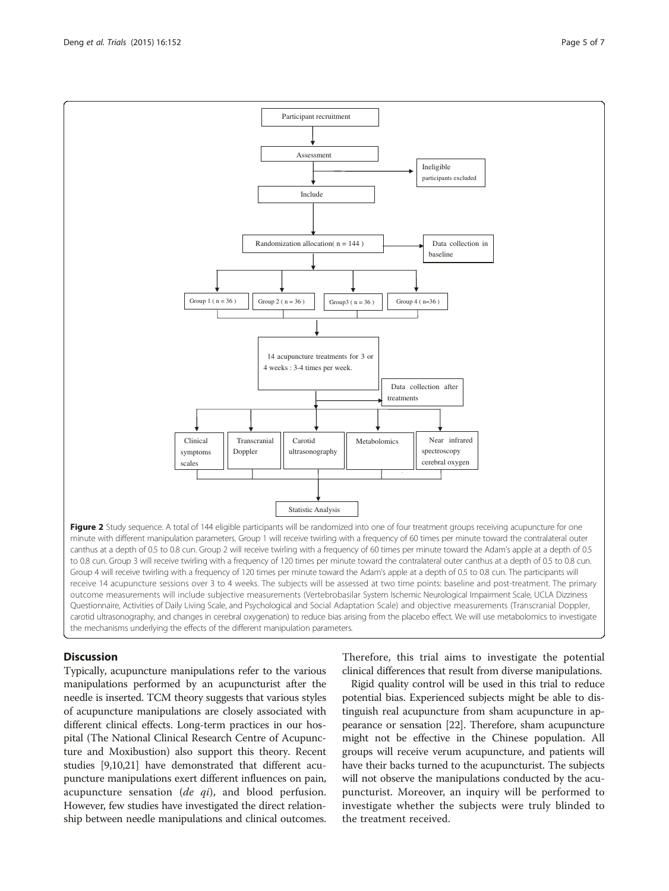Figure 2 Study sequence. A total of 144 eligible participants will be randomized into one of four treatment groups receiving acupuncture for one minute with different manipulation parameters. Group 1 will receive twirling with a frequency of 60 times per minute toward the contralateral outer canthus at a depth of 0.5 to 0.8 cun. Group 2 will receive twirling with a frequency of 60 times per minute toward the Adam's apple at a depth of 0.5 to 0.8 cun. Group 3 will receive twirling with a frequency of 120 times per minute toward the contralateral outer canthus at a depth of 0.5 to 0.8 cun. Group 4 will receive twirling with a frequency of 120 times per minute toward the Adam's apple at a depth of 0.5 to 0.8 cun. The participants will receive 14 acupuncture sessions over 3 to 4 weeks. The subjects will be assessed at two time points: baseline and post-treatment. The primary outcome measurements will include subjective measurements (Vertebrobasilar System Ischemic Neurological Impairment Scale, UCLA Dizziness Questionnaire, Activities of Daily Living Scale, and Psychological and Social Adaptation Scale) and objective measurements (Transcranial Doppler, carotid ultrasonography, and changes in cerebral oxygenation) to reduce bias arising from the placebo effect. We will use metabolomics to investigate the mechanisms underlying the effects of the different manipulation parameters.

### **Discussion**

Typically, acupuncture manipulations refer to the various manipulations performed by an acupuncturist after the needle is inserted. TCM theory suggests that various styles of acupuncture manipulations are closely associated with different clinical effects. Long-term practices in our hospital (The National Clinical Research Centre of Acupuncture and Moxibustion) also support this theory. Recent studies [[9,10,21\]](#page-6-0) have demonstrated that different acupuncture manipulations exert different influences on pain, acupuncture sensation (*de qi*), and blood perfusion. However, few studies have investigated the direct relationship between needle manipulations and clinical outcomes. Therefore, this trial aims to investigate the potential clinical differences that result from diverse manipulations.

Rigid quality control will be used in this trial to reduce potential bias. Experienced subjects might be able to distinguish real acupuncture from sham acupuncture in appearance or sensation [\[22\]](#page-6-0). Therefore, sham acupuncture might not be effective in the Chinese population. All groups will receive verum acupuncture, and patients will have their backs turned to the acupuncturist. The subjects will not observe the manipulations conducted by the acupuncturist. Moreover, an inquiry will be performed to investigate whether the subjects were truly blinded to the treatment received.

<span id="page-4-0"></span>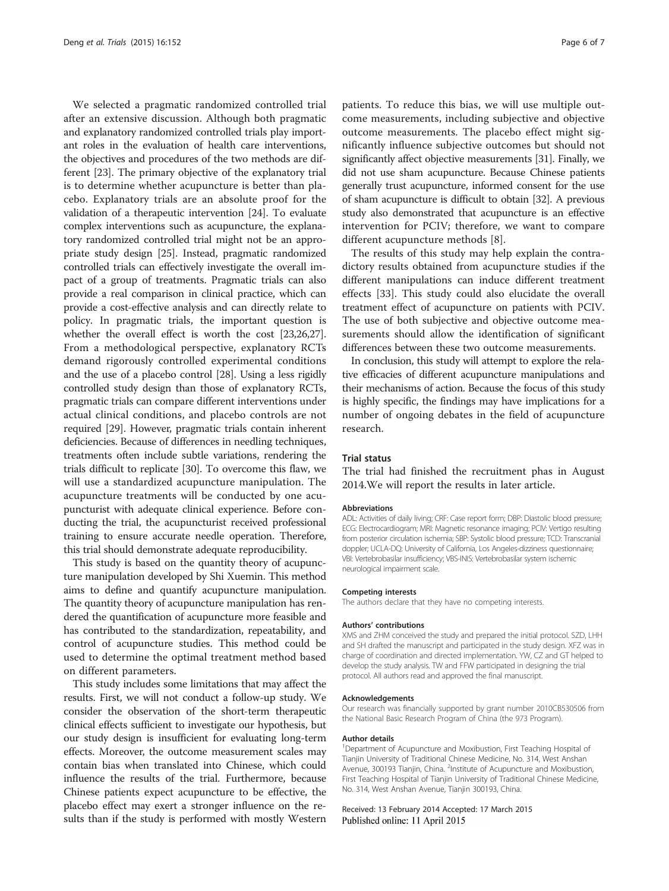We selected a pragmatic randomized controlled trial after an extensive discussion. Although both pragmatic and explanatory randomized controlled trials play important roles in the evaluation of health care interventions, the objectives and procedures of the two methods are different [[23](#page-6-0)]. The primary objective of the explanatory trial is to determine whether acupuncture is better than placebo. Explanatory trials are an absolute proof for the validation of a therapeutic intervention [\[24\]](#page-6-0). To evaluate complex interventions such as acupuncture, the explanatory randomized controlled trial might not be an appropriate study design [\[25](#page-6-0)]. Instead, pragmatic randomized controlled trials can effectively investigate the overall impact of a group of treatments. Pragmatic trials can also provide a real comparison in clinical practice, which can provide a cost-effective analysis and can directly relate to policy. In pragmatic trials, the important question is whether the overall effect is worth the cost [\[23,26,27](#page-6-0)]. From a methodological perspective, explanatory RCTs demand rigorously controlled experimental conditions and the use of a placebo control [[28](#page-6-0)]. Using a less rigidly controlled study design than those of explanatory RCTs, pragmatic trials can compare different interventions under actual clinical conditions, and placebo controls are not required [\[29\]](#page-6-0). However, pragmatic trials contain inherent deficiencies. Because of differences in needling techniques, treatments often include subtle variations, rendering the trials difficult to replicate [\[30\]](#page-6-0). To overcome this flaw, we will use a standardized acupuncture manipulation. The acupuncture treatments will be conducted by one acupuncturist with adequate clinical experience. Before conducting the trial, the acupuncturist received professional training to ensure accurate needle operation. Therefore, this trial should demonstrate adequate reproducibility.

This study is based on the quantity theory of acupuncture manipulation developed by Shi Xuemin. This method aims to define and quantify acupuncture manipulation. The quantity theory of acupuncture manipulation has rendered the quantification of acupuncture more feasible and has contributed to the standardization, repeatability, and control of acupuncture studies. This method could be used to determine the optimal treatment method based on different parameters.

This study includes some limitations that may affect the results. First, we will not conduct a follow-up study. We consider the observation of the short-term therapeutic clinical effects sufficient to investigate our hypothesis, but our study design is insufficient for evaluating long-term effects. Moreover, the outcome measurement scales may contain bias when translated into Chinese, which could influence the results of the trial. Furthermore, because Chinese patients expect acupuncture to be effective, the placebo effect may exert a stronger influence on the results than if the study is performed with mostly Western patients. To reduce this bias, we will use multiple outcome measurements, including subjective and objective outcome measurements. The placebo effect might significantly influence subjective outcomes but should not significantly affect objective measurements [\[31\]](#page-6-0). Finally, we did not use sham acupuncture. Because Chinese patients generally trust acupuncture, informed consent for the use of sham acupuncture is difficult to obtain [\[32\]](#page-6-0). A previous study also demonstrated that acupuncture is an effective intervention for PCIV; therefore, we want to compare different acupuncture methods [[8\]](#page-6-0).

The results of this study may help explain the contradictory results obtained from acupuncture studies if the different manipulations can induce different treatment effects [\[33](#page-6-0)]. This study could also elucidate the overall treatment effect of acupuncture on patients with PCIV. The use of both subjective and objective outcome measurements should allow the identification of significant differences between these two outcome measurements.

In conclusion, this study will attempt to explore the relative efficacies of different acupuncture manipulations and their mechanisms of action. Because the focus of this study is highly specific, the findings may have implications for a number of ongoing debates in the field of acupuncture research.

#### Trial status

The trial had finished the recruitment phas in August 2014.We will report the results in later article.

#### Abbreviations

ADL: Activities of daily living; CRF: Case report form; DBP: Diastolic blood pressure; ECG: Electrocardiogram; MRI: Magnetic resonance imaging; PCIV: Vertigo resulting from posterior circulation ischemia; SBP: Systolic blood pressure; TCD: Transcranial doppler; UCLA-DQ: University of California, Los Angeles-dizziness questionnaire; VBI: Vertebrobasilar insufficiency; VBS-INIS: Vertebrobasilar system ischemic neurological impairment scale.

#### Competing interests

The authors declare that they have no competing interests.

#### Authors' contributions

XMS and ZHM conceived the study and prepared the initial protocol. SZD, LHH and SH drafted the manuscript and participated in the study design. XFZ was in charge of coordination and directed implementation. YW, CZ and GT helped to develop the study analysis. TW and FFW participated in designing the trial protocol. All authors read and approved the final manuscript.

#### Acknowledgements

Our research was financially supported by grant number 2010CB530506 from the National Basic Research Program of China (the 973 Program).

#### Author details

<sup>1</sup>Department of Acupuncture and Moxibustion, First Teaching Hospital of Tianjin University of Traditional Chinese Medicine, No. 314, West Anshan Avenue, 300193 Tianjin, China. <sup>2</sup>Institute of Acupuncture and Moxibustion First Teaching Hospital of Tianjin University of Traditional Chinese Medicine, No. 314, West Anshan Avenue, Tianjin 300193, China.

#### Received: 13 February 2014 Accepted: 17 March 2015 Published online: 11 April 2015